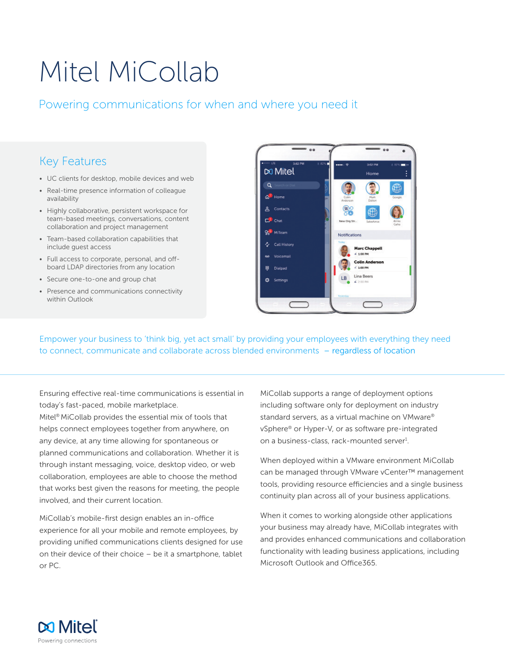# Mitel MiCollab

# Powering communications for when and where you need it

# Key Features

- UC clients for desktop, mobile devices and web
- Real-time presence information of colleague availability
- Highly collaborative, persistent workspace for team-based meetings, conversations, content collaboration and project management
- Team-based collaboration capabilities that include guest access
- Full access to corporate, personal, and offboard LDAP directories from any location
- Secure one-to-one and group chat
- Presence and communications connectivity within Outlook



Empower your business to 'think big, yet act small' by providing your employees with everything they need to connect, communicate and collaborate across blended environments – regardless of location

Ensuring effective real-time communications is essential in today's fast-paced, mobile marketplace.

Mitel® MiCollab provides the essential mix of tools that helps connect employees together from anywhere, on any device, at any time allowing for spontaneous or planned communications and collaboration. Whether it is through instant messaging, voice, desktop video, or web collaboration, employees are able to choose the method that works best given the reasons for meeting, the people involved, and their current location.

MiCollab's mobile-first design enables an in-office experience for all your mobile and remote employees, by providing unified communications clients designed for use on their device of their choice – be it a smartphone, tablet or PC.

MiCollab supports a range of deployment options including software only for deployment on industry standard servers, as a virtual machine on VMware® vSphere® or Hyper-V, or as software pre-integrated on a business-class, rack-mounted server<sup>1</sup>.

When deployed within a VMware environment MiCollab can be managed through VMware vCenter™ management tools, providing resource efficiencies and a single business continuity plan across all of your business applications.

When it comes to working alongside other applications your business may already have, MiCollab integrates with and provides enhanced communications and collaboration functionality with leading business applications, including Microsoft Outlook and Office365.